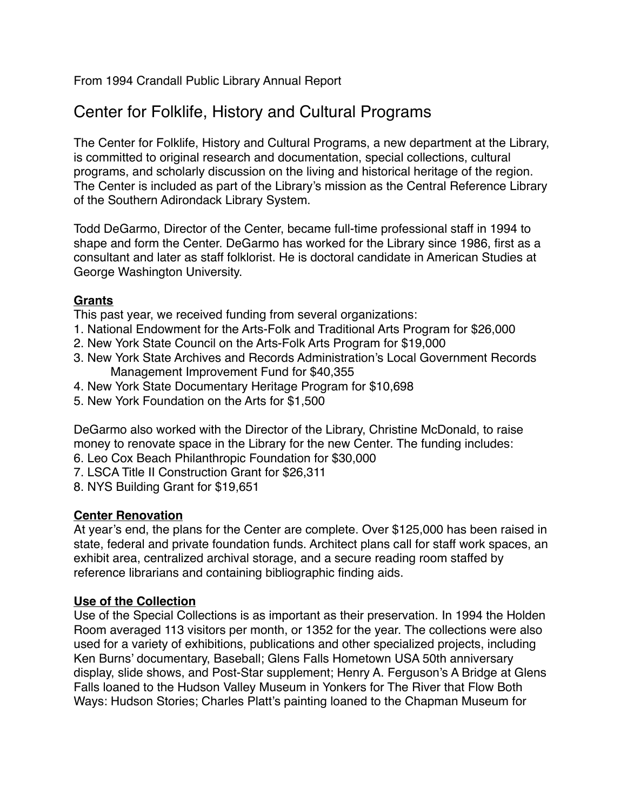From 1994 Crandall Public Library Annual Report

# Center for Folklife, History and Cultural Programs

The Center for Folklife, History and Cultural Programs, a new department at the Library, is committed to original research and documentation, special collections, cultural programs, and scholarly discussion on the living and historical heritage of the region. The Center is included as part of the Library's mission as the Central Reference Library of the Southern Adirondack Library System.

Todd DeGarmo, Director of the Center, became full-time professional staff in 1994 to shape and form the Center. DeGarmo has worked for the Library since 1986, first as a consultant and later as staff folklorist. He is doctoral candidate in American Studies at George Washington University.

# **Grants**

This past year, we received funding from several organizations:

- 1. National Endowment for the Arts-Folk and Traditional Arts Program for \$26,000
- 2. New York State Council on the Arts-Folk Arts Program for \$19,000
- 3. New York State Archives and Records Administration's Local Government Records Management Improvement Fund for \$40,355
- 4. New York State Documentary Heritage Program for \$10,698
- 5. New York Foundation on the Arts for \$1,500

DeGarmo also worked with the Director of the Library, Christine McDonald, to raise money to renovate space in the Library for the new Center. The funding includes:

- 6. Leo Cox Beach Philanthropic Foundation for \$30,000
- 7. LSCA Title II Construction Grant for \$26,311
- 8. NYS Building Grant for \$19,651

# **Center Renovation**

At year's end, the plans for the Center are complete. Over \$125,000 has been raised in state, federal and private foundation funds. Architect plans call for staff work spaces, an exhibit area, centralized archival storage, and a secure reading room staffed by reference librarians and containing bibliographic finding aids.

# **Use of the Collection**

Use of the Special Collections is as important as their preservation. In 1994 the Holden Room averaged 113 visitors per month, or 1352 for the year. The collections were also used for a variety of exhibitions, publications and other specialized projects, including Ken Burns' documentary, Baseball; Glens Falls Hometown USA 50th anniversary display, slide shows, and Post-Star supplement; Henry A. Ferguson's A Bridge at Glens Falls loaned to the Hudson Valley Museum in Yonkers for The River that Flow Both Ways: Hudson Stories; Charles Platt's painting loaned to the Chapman Museum for